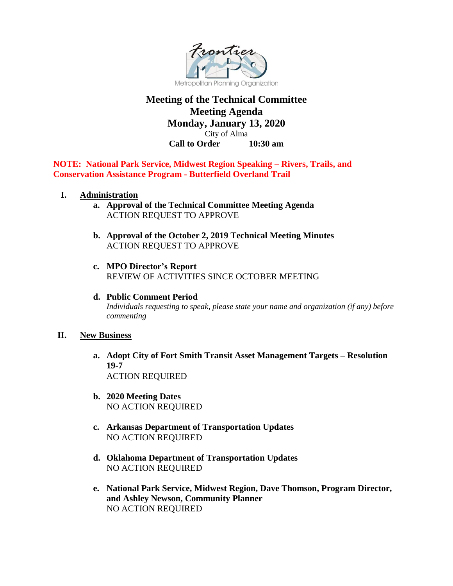

# **Meeting of the Technical Committee Meeting Agenda Monday, January 13, 2020**

City of Alma **Call to Order 10:30 am**

**NOTE: National Park Service, Midwest Region Speaking – Rivers, Trails, and Conservation Assistance Program - Butterfield Overland Trail**

- **I. Administration**
	- **a. Approval of the Technical Committee Meeting Agenda** ACTION REQUEST TO APPROVE
	- **b. Approval of the October 2, 2019 Technical Meeting Minutes**  ACTION REQUEST TO APPROVE
	- **c. MPO Director's Report**  REVIEW OF ACTIVITIES SINCE OCTOBER MEETING
	- **d. Public Comment Period** *Individuals requesting to speak, please state your name and organization (if any) before commenting*

## **II. New Business**

- **a. Adopt City of Fort Smith Transit Asset Management Targets – Resolution 19-7** ACTION REQUIRED
- **b. 2020 Meeting Dates** NO ACTION REQUIRED
- **c. Arkansas Department of Transportation Updates** NO ACTION REQUIRED
- **d. Oklahoma Department of Transportation Updates**  NO ACTION REQUIRED
- **e. National Park Service, Midwest Region, Dave Thomson, Program Director, and Ashley Newson, Community Planner** NO ACTION REQUIRED